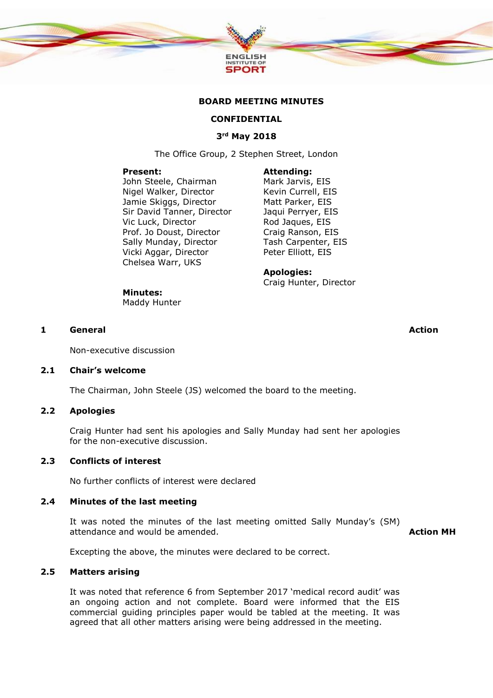

#### **BOARD MEETING MINUTES**

# **CONFIDENTIAL**

# **3rd May 2018**

The Office Group, 2 Stephen Street, London

#### **Present:**

**Minutes:** Maddy Hunter

John Steele, Chairman Nigel Walker, Director Jamie Skiggs, Director Sir David Tanner, Director Vic Luck, Director Prof. Jo Doust, Director Sally Munday, Director Vicki Aggar, Director Chelsea Warr, UKS

#### **Attending:**

Mark Jarvis, EIS Kevin Currell, EIS Matt Parker, EIS Jaqui Perryer, EIS Rod Jaques, EIS Craig Ranson, EIS Tash Carpenter, EIS Peter Elliott, EIS

#### **Apologies:**

Craig Hunter, Director

# **1 General Action**

Non-executive discussion

#### **2.1 Chair's welcome**

The Chairman, John Steele (JS) welcomed the board to the meeting.

#### **2.2 Apologies**

Craig Hunter had sent his apologies and Sally Munday had sent her apologies for the non-executive discussion.

#### **2.3 Conflicts of interest**

No further conflicts of interest were declared

#### **2.4 Minutes of the last meeting**

It was noted the minutes of the last meeting omitted Sally Munday's (SM) attendance and would be amended.

**Action MH**

Excepting the above, the minutes were declared to be correct.

# **2.5 Matters arising**

It was noted that reference 6 from September 2017 'medical record audit' was an ongoing action and not complete. Board were informed that the EIS commercial guiding principles paper would be tabled at the meeting. It was agreed that all other matters arising were being addressed in the meeting.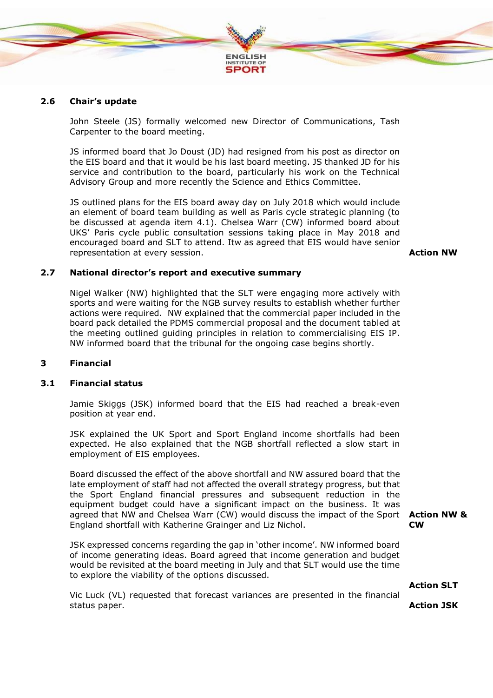

### **2.6 Chair's update**

John Steele (JS) formally welcomed new Director of Communications, Tash Carpenter to the board meeting.

JS informed board that Jo Doust (JD) had resigned from his post as director on the EIS board and that it would be his last board meeting. JS thanked JD for his service and contribution to the board, particularly his work on the Technical Advisory Group and more recently the Science and Ethics Committee.

JS outlined plans for the EIS board away day on July 2018 which would include an element of board team building as well as Paris cycle strategic planning (to be discussed at agenda item 4.1). Chelsea Warr (CW) informed board about UKS' Paris cycle public consultation sessions taking place in May 2018 and encouraged board and SLT to attend. Itw as agreed that EIS would have senior representation at every session. **Action NW**

#### **2.7 National director's report and executive summary**

Nigel Walker (NW) highlighted that the SLT were engaging more actively with sports and were waiting for the NGB survey results to establish whether further actions were required. NW explained that the commercial paper included in the board pack detailed the PDMS commercial proposal and the document tabled at the meeting outlined guiding principles in relation to commercialising EIS IP. NW informed board that the tribunal for the ongoing case begins shortly.

### **3 Financial**

#### **3.1 Financial status**

Jamie Skiggs (JSK) informed board that the EIS had reached a break-even position at year end.

JSK explained the UK Sport and Sport England income shortfalls had been expected. He also explained that the NGB shortfall reflected a slow start in employment of EIS employees.

Board discussed the effect of the above shortfall and NW assured board that the late employment of staff had not affected the overall strategy progress, but that the Sport England financial pressures and subsequent reduction in the equipment budget could have a significant impact on the business. It was agreed that NW and Chelsea Warr (CW) would discuss the impact of the Sport **Action NW &**  England shortfall with Katherine Grainger and Liz Nichol.

JSK expressed concerns regarding the gap in 'other income'. NW informed board of income generating ideas. Board agreed that income generation and budget would be revisited at the board meeting in July and that SLT would use the time to explore the viability of the options discussed.

**Action SLT**

**CW**

Vic Luck (VL) requested that forecast variances are presented in the financial status paper.

**Action JSK**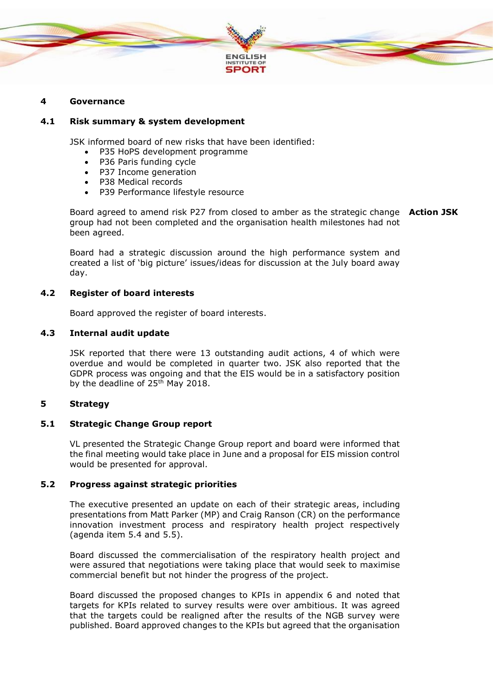

### **4 Governance**

#### **4.1 Risk summary & system development**

JSK informed board of new risks that have been identified:

- P35 HoPS development programme
- P36 Paris funding cycle
- P37 Income generation
- P38 Medical records
- P39 Performance lifestyle resource

Board agreed to amend risk P27 from closed to amber as the strategic change **Action JSK** group had not been completed and the organisation health milestones had not been agreed.

Board had a strategic discussion around the high performance system and created a list of 'big picture' issues/ideas for discussion at the July board away day.

#### **4.2 Register of board interests**

Board approved the register of board interests.

### **4.3 Internal audit update**

JSK reported that there were 13 outstanding audit actions, 4 of which were overdue and would be completed in quarter two. JSK also reported that the GDPR process was ongoing and that the EIS would be in a satisfactory position by the deadline of 25<sup>th</sup> May 2018.

# **5 Strategy**

### **5.1 Strategic Change Group report**

VL presented the Strategic Change Group report and board were informed that the final meeting would take place in June and a proposal for EIS mission control would be presented for approval.

### **5.2 Progress against strategic priorities**

The executive presented an update on each of their strategic areas, including presentations from Matt Parker (MP) and Craig Ranson (CR) on the performance innovation investment process and respiratory health project respectively (agenda item 5.4 and 5.5).

Board discussed the commercialisation of the respiratory health project and were assured that negotiations were taking place that would seek to maximise commercial benefit but not hinder the progress of the project.

Board discussed the proposed changes to KPIs in appendix 6 and noted that targets for KPIs related to survey results were over ambitious. It was agreed that the targets could be realigned after the results of the NGB survey were published. Board approved changes to the KPIs but agreed that the organisation